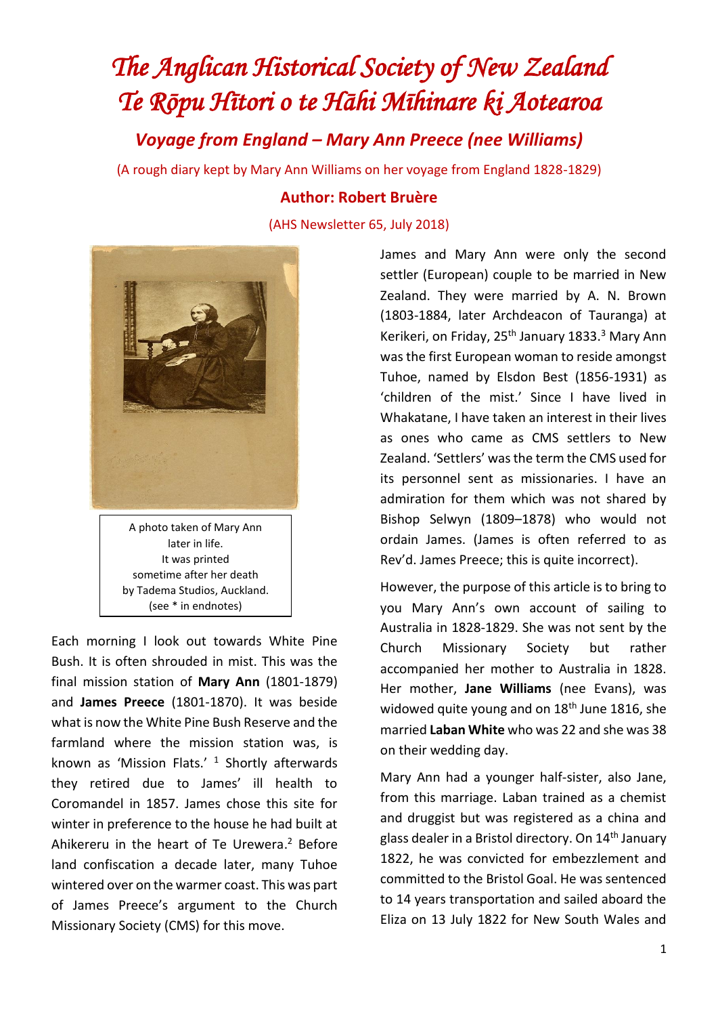## *The Anglican Historical Society of New Zealand Te Rōpu Hītori o te Hāhi Mīhinare ki Aotearoa*

*Voyage from England – Mary Ann Preece (nee Williams)*

(A rough diary kept by Mary Ann Williams on her voyage from England 1828-1829)

A photo taken of Mary Ann later in life. It was printed sometime after her death by Tadema Studios, Auckland. (see \* in endnotes)

Each morning I look out towards White Pine Bush. It is often shrouded in mist. This was the final mission station of **Mary Ann** (1801-1879) and **James Preece** (1801-1870). It was beside what is now the White Pine Bush Reserve and the farmland where the mission station was, is known as 'Mission Flats.' <sup>1</sup> Shortly afterwards they retired due to James' ill health to Coromandel in 1857. James chose this site for winter in preference to the house he had built at Ahikereru in the heart of Te Urewera. <sup>2</sup> Before land confiscation a decade later, many Tuhoe wintered over on the warmer coast. This was part of James Preece's argument to the Church Missionary Society (CMS) for this move.

## **Author: Robert Bruѐre**

(AHS Newsletter 65, July 2018)

James and Mary Ann were only the second settler (European) couple to be married in New Zealand. They were married by A. N. Brown (1803-1884, later Archdeacon of Tauranga) at Kerikeri, on Friday, 25<sup>th</sup> January 1833.<sup>3</sup> Mary Ann was the first European woman to reside amongst Tuhoe, named by Elsdon Best (1856-1931) as 'children of the mist.' Since I have lived in Whakatane, I have taken an interest in their lives as ones who came as CMS settlers to New Zealand. 'Settlers' was the term the CMS used for its personnel sent as missionaries. I have an admiration for them which was not shared by Bishop Selwyn (1809–1878) who would not ordain James. (James is often referred to as Rev'd. James Preece; this is quite incorrect).

However, the purpose of this article is to bring to you Mary Ann's own account of sailing to Australia in 1828-1829. She was not sent by the Church Missionary Society but rather accompanied her mother to Australia in 1828. Her mother, **Jane Williams** (nee Evans), was widowed quite young and on 18<sup>th</sup> June 1816, she married **Laban White** who was 22 and she was 38 on their wedding day.

Mary Ann had a younger half-sister, also Jane, from this marriage. Laban trained as a chemist and druggist but was registered as a china and glass dealer in a Bristol directory. On 14<sup>th</sup> January 1822, he was convicted for embezzlement and committed to the Bristol Goal. He was sentenced to 14 years transportation and sailed aboard the Eliza on 13 July 1822 for New South Wales and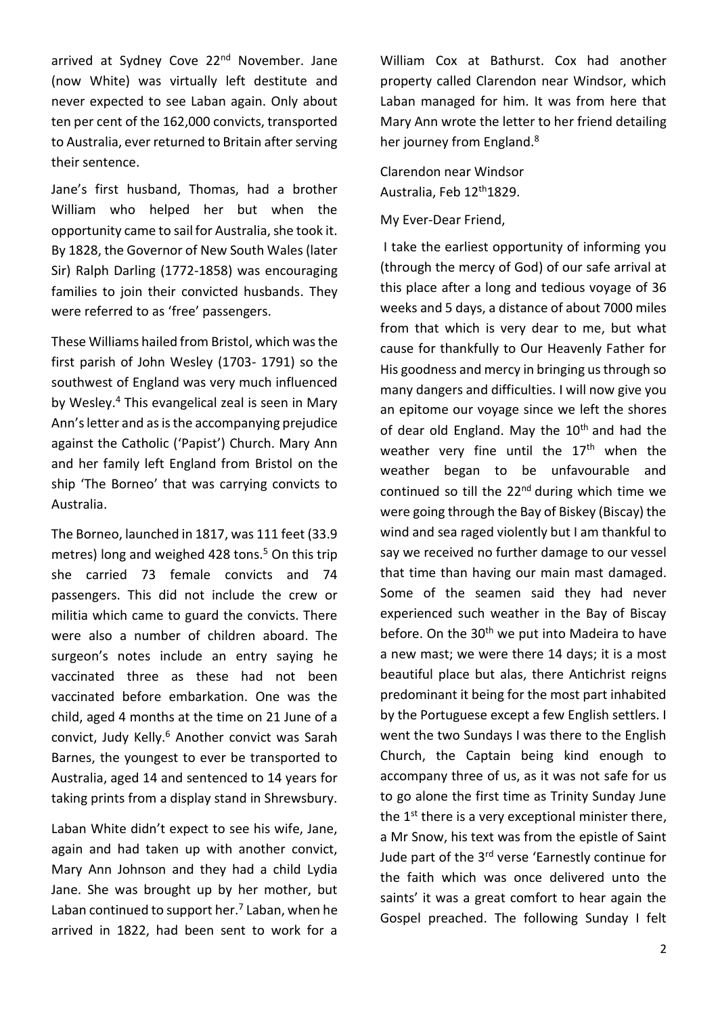arrived at Sydney Cove 22<sup>nd</sup> November. Jane (now White) was virtually left destitute and never expected to see Laban again. Only about ten per cent of the 162,000 convicts, transported to Australia, ever returned to Britain after serving their sentence.

Jane's first husband, Thomas, had a brother William who helped her but when the opportunity came to sail for Australia, she took it. By 1828, the Governor of New South Wales (later Sir) Ralph Darling (1772-1858) was encouraging families to join their convicted husbands. They were referred to as 'free' passengers.

These Williams hailed from Bristol, which was the first parish of John Wesley (1703- 1791) so the southwest of England was very much influenced by Wesley.<sup>4</sup> This evangelical zeal is seen in Mary Ann's letter and as is the accompanying prejudice against the Catholic ('Papist') Church. Mary Ann and her family left England from Bristol on the ship 'The Borneo' that was carrying convicts to Australia.

The Borneo, launched in 1817, was 111 feet (33.9 metres) long and weighed 428 tons.<sup>5</sup> On this trip she carried 73 female convicts and 74 passengers. This did not include the crew or militia which came to guard the convicts. There were also a number of children aboard. The surgeon's notes include an entry saying he vaccinated three as these had not been vaccinated before embarkation. One was the child, aged 4 months at the time on 21 June of a convict, Judy Kelly.<sup>6</sup> Another convict was Sarah Barnes, the youngest to ever be transported to Australia, aged 14 and sentenced to 14 years for taking prints from a display stand in Shrewsbury.

Laban White didn't expect to see his wife, Jane, again and had taken up with another convict, Mary Ann Johnson and they had a child Lydia Jane. She was brought up by her mother, but Laban continued to support her.<sup>7</sup> Laban, when he arrived in 1822, had been sent to work for a

William Cox at Bathurst. Cox had another property called Clarendon near Windsor, which Laban managed for him. It was from here that Mary Ann wrote the letter to her friend detailing her journey from England.<sup>8</sup>

Clarendon near Windsor Australia, Feb 12<sup>th</sup>1829.

My Ever-Dear Friend,

I take the earliest opportunity of informing you (through the mercy of God) of our safe arrival at this place after a long and tedious voyage of 36 weeks and 5 days, a distance of about 7000 miles from that which is very dear to me, but what cause for thankfully to Our Heavenly Father for His goodness and mercy in bringing us through so many dangers and difficulties. I will now give you an epitome our voyage since we left the shores of dear old England. May the  $10<sup>th</sup>$  and had the weather very fine until the 17<sup>th</sup> when the weather began to be unfavourable and continued so till the  $22<sup>nd</sup>$  during which time we were going through the Bay of Biskey (Biscay) the wind and sea raged violently but I am thankful to say we received no further damage to our vessel that time than having our main mast damaged. Some of the seamen said they had never experienced such weather in the Bay of Biscay before. On the 30<sup>th</sup> we put into Madeira to have a new mast; we were there 14 days; it is a most beautiful place but alas, there Antichrist reigns predominant it being for the most part inhabited by the Portuguese except a few English settlers. I went the two Sundays I was there to the English Church, the Captain being kind enough to accompany three of us, as it was not safe for us to go alone the first time as Trinity Sunday June the  $1<sup>st</sup>$  there is a very exceptional minister there, a Mr Snow, his text was from the epistle of Saint Jude part of the 3<sup>rd</sup> verse 'Earnestly continue for the faith which was once delivered unto the saints' it was a great comfort to hear again the Gospel preached. The following Sunday I felt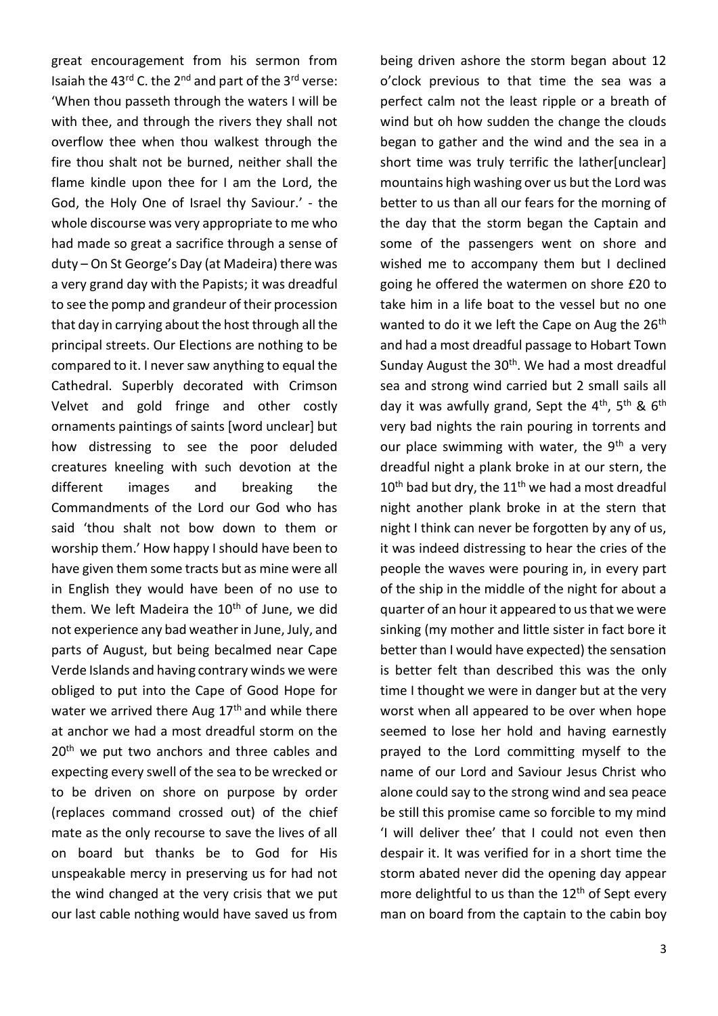great encouragement from his sermon from Isaiah the 43rd C. the 2nd and part of the 3rd verse: 'When thou passeth through the waters I will be with thee, and through the rivers they shall not overflow thee when thou walkest through the fire thou shalt not be burned, neither shall the flame kindle upon thee for I am the Lord, the God, the Holy One of Israel thy Saviour.' - the whole discourse was very appropriate to me who had made so great a sacrifice through a sense of duty – On St George's Day (at Madeira) there was a very grand day with the Papists; it was dreadful to see the pomp and grandeur of their procession that day in carrying about the host through all the principal streets. Our Elections are nothing to be compared to it. I never saw anything to equal the Cathedral. Superbly decorated with Crimson Velvet and gold fringe and other costly ornaments paintings of saints [word unclear] but how distressing to see the poor deluded creatures kneeling with such devotion at the different images and breaking the Commandments of the Lord our God who has said 'thou shalt not bow down to them or worship them.' How happy I should have been to have given them some tracts but as mine were all in English they would have been of no use to them. We left Madeira the  $10<sup>th</sup>$  of June, we did not experience any bad weather in June, July, and parts of August, but being becalmed near Cape Verde Islands and having contrary winds we were obliged to put into the Cape of Good Hope for water we arrived there Aug 17<sup>th</sup> and while there at anchor we had a most dreadful storm on the 20<sup>th</sup> we put two anchors and three cables and expecting every swell of the sea to be wrecked or to be driven on shore on purpose by order (replaces command crossed out) of the chief mate as the only recourse to save the lives of all on board but thanks be to God for His unspeakable mercy in preserving us for had not the wind changed at the very crisis that we put our last cable nothing would have saved us from

o'clock previous to that time the sea was a perfect calm not the least ripple or a breath of wind but oh how sudden the change the clouds began to gather and the wind and the sea in a short time was truly terrific the lather[unclear] mountains high washing over us but the Lord was better to us than all our fears for the morning of the day that the storm began the Captain and some of the passengers went on shore and wished me to accompany them but I declined going he offered the watermen on shore £20 to take him in a life boat to the vessel but no one wanted to do it we left the Cape on Aug the 26<sup>th</sup> and had a most dreadful passage to Hobart Town Sunday August the  $30<sup>th</sup>$ . We had a most dreadful sea and strong wind carried but 2 small sails all day it was awfully grand, Sept the  $4^{th}$ ,  $5^{th}$  &  $6^{th}$ very bad nights the rain pouring in torrents and our place swimming with water, the  $9<sup>th</sup>$  a very dreadful night a plank broke in at our stern, the  $10^{th}$  bad but dry, the  $11^{th}$  we had a most dreadful night another plank broke in at the stern that night I think can never be forgotten by any of us, it was indeed distressing to hear the cries of the people the waves were pouring in, in every part of the ship in the middle of the night for about a quarter of an hour it appeared to us that we were sinking (my mother and little sister in fact bore it better than I would have expected) the sensation is better felt than described this was the only time I thought we were in danger but at the very worst when all appeared to be over when hope seemed to lose her hold and having earnestly prayed to the Lord committing myself to the name of our Lord and Saviour Jesus Christ who alone could say to the strong wind and sea peace be still this promise came so forcible to my mind 'I will deliver thee' that I could not even then despair it. It was verified for in a short time the storm abated never did the opening day appear more delightful to us than the  $12<sup>th</sup>$  of Sept every man on board from the captain to the cabin boy

being driven ashore the storm began about 12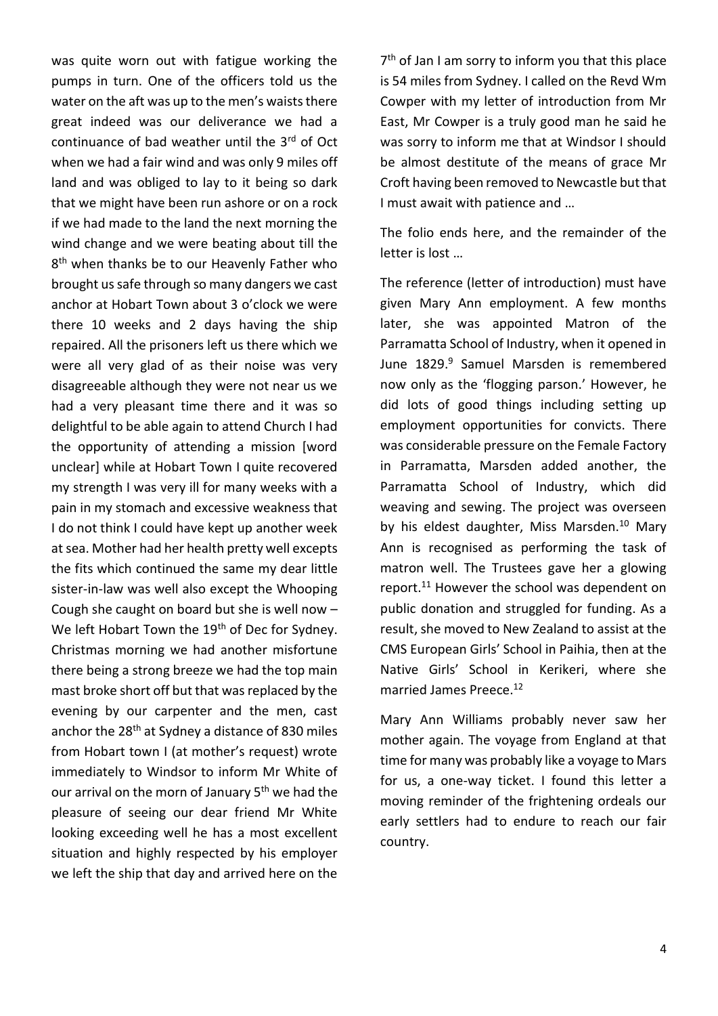was quite worn out with fatigue working the pumps in turn. One of the officers told us the water on the aft was up to the men's waists there great indeed was our deliverance we had a continuance of bad weather until the 3rd of Oct when we had a fair wind and was only 9 miles off land and was obliged to lay to it being so dark that we might have been run ashore or on a rock if we had made to the land the next morning the wind change and we were beating about till the 8<sup>th</sup> when thanks be to our Heavenly Father who brought us safe through so many dangers we cast anchor at Hobart Town about 3 o'clock we were there 10 weeks and 2 days having the ship repaired. All the prisoners left us there which we were all very glad of as their noise was very disagreeable although they were not near us we had a very pleasant time there and it was so delightful to be able again to attend Church I had the opportunity of attending a mission [word unclear] while at Hobart Town I quite recovered my strength I was very ill for many weeks with a pain in my stomach and excessive weakness that I do not think I could have kept up another week at sea. Mother had her health pretty well excepts the fits which continued the same my dear little sister-in-law was well also except the Whooping Cough she caught on board but she is well now – We left Hobart Town the 19<sup>th</sup> of Dec for Sydney. Christmas morning we had another misfortune there being a strong breeze we had the top main mast broke short off but that was replaced by the evening by our carpenter and the men, cast anchor the 28<sup>th</sup> at Sydney a distance of 830 miles from Hobart town I (at mother's request) wrote immediately to Windsor to inform Mr White of our arrival on the morn of January 5<sup>th</sup> we had the pleasure of seeing our dear friend Mr White looking exceeding well he has a most excellent situation and highly respected by his employer we left the ship that day and arrived here on the 7<sup>th</sup> of Jan I am sorry to inform you that this place is 54 miles from Sydney. I called on the Revd Wm Cowper with my letter of introduction from Mr East, Mr Cowper is a truly good man he said he was sorry to inform me that at Windsor I should be almost destitute of the means of grace Mr Croft having been removed to Newcastle but that I must await with patience and …

The folio ends here, and the remainder of the letter is lost …

The reference (letter of introduction) must have given Mary Ann employment. A few months later, she was appointed Matron of the Parramatta School of Industry, when it opened in June 1829.<sup>9</sup> Samuel Marsden is remembered now only as the 'flogging parson.' However, he did lots of good things including setting up employment opportunities for convicts. There was considerable pressure on the Female Factory in Parramatta, Marsden added another, the Parramatta School of Industry, which did weaving and sewing. The project was overseen by his eldest daughter, Miss Marsden.<sup>10</sup> Mary Ann is recognised as performing the task of matron well. The Trustees gave her a glowing report.<sup>11</sup> However the school was dependent on public donation and struggled for funding. As a result, she moved to New Zealand to assist at the CMS European Girls' School in Paihia, then at the Native Girls' School in Kerikeri, where she married James Preece.<sup>12</sup>

Mary Ann Williams probably never saw her mother again. The voyage from England at that time for many was probably like a voyage to Mars for us, a one-way ticket. I found this letter a moving reminder of the frightening ordeals our early settlers had to endure to reach our fair country.